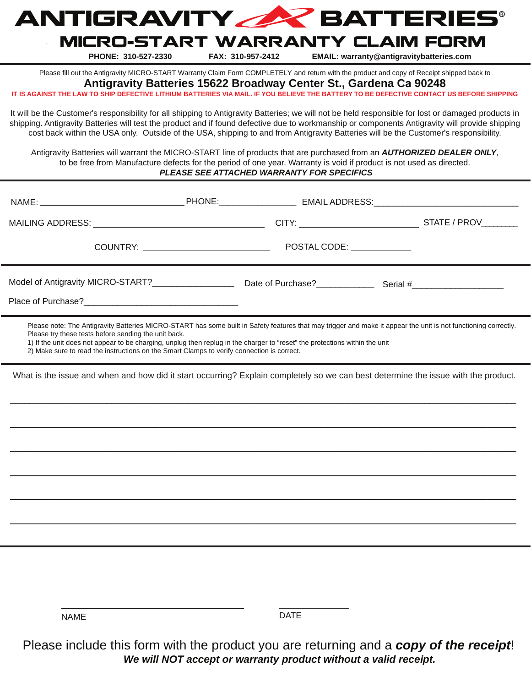

# MICRO-START WARRANTY CLAIM FORM

**PHONE: 310-527-2330 FAX: 310-957-2412 EMAIL: warranty@antigravitybatteries.com**

Please fill out the Antigravity MICRO-START Warranty Claim Form COMPLETELY and return with the product and copy of Receipt shipped back to

**Antigravity Batteries 15622 Broadway Center St., Gardena Ca 90248**

AGAINST THE LAW TO SHIP DEFECTIVE LITHIUM BATTERIES VIA MAIL. IF YOU BELIEVE THE BATTERY TO BE DEFECTIVE CONTACT US BEFORE SHIPPING

It will be the Customer's responsibility for all shipping to Antigravity Batteries; we will not be held responsible for lost or damaged products in shipping. Antigravity Batteries will test the product and if found defective due to workmanship or components Antigravity will provide shipping cost back within the USA only. Outside of the USA, shipping to and from Antigravity Batteries will be the Customer's responsibility.

Antigravity Batteries will warrant the MICRO-START line of products that are purchased from an *AUTHORIZED DEALER ONLY*, to be free from Manufacture defects for the period of one year. Warranty is void if product is not used as directed. *PLEASE SEE ATTACHED WARRANTY FOR SPECIFICS*

| MAILING ADDRESS: University of the ADDRESS:                                                                                                                                                                                                                                                                                                                                                                                                          |  |             |  |
|------------------------------------------------------------------------------------------------------------------------------------------------------------------------------------------------------------------------------------------------------------------------------------------------------------------------------------------------------------------------------------------------------------------------------------------------------|--|-------------|--|
|                                                                                                                                                                                                                                                                                                                                                                                                                                                      |  |             |  |
|                                                                                                                                                                                                                                                                                                                                                                                                                                                      |  |             |  |
| Please note: The Antigravity Batteries MICRO-START has some built in Safety features that may trigger and make it appear the unit is not functioning correctly.<br>Please try these tests before sending the unit back.<br>1) If the unit does not appear to be charging, unplug then replug in the charger to "reset" the protections within the unit<br>2) Make sure to read the instructions on the Smart Clamps to verify connection is correct. |  |             |  |
| What is the issue and when and how did it start occurring? Explain completely so we can best determine the issue with the product.                                                                                                                                                                                                                                                                                                                   |  |             |  |
|                                                                                                                                                                                                                                                                                                                                                                                                                                                      |  |             |  |
|                                                                                                                                                                                                                                                                                                                                                                                                                                                      |  |             |  |
|                                                                                                                                                                                                                                                                                                                                                                                                                                                      |  |             |  |
|                                                                                                                                                                                                                                                                                                                                                                                                                                                      |  |             |  |
|                                                                                                                                                                                                                                                                                                                                                                                                                                                      |  |             |  |
|                                                                                                                                                                                                                                                                                                                                                                                                                                                      |  |             |  |
|                                                                                                                                                                                                                                                                                                                                                                                                                                                      |  |             |  |
| <b>NAME</b>                                                                                                                                                                                                                                                                                                                                                                                                                                          |  | <b>DATE</b> |  |

Please include this form with the product you are returning and a *copy of the receipt*! *We will NOT accept or warranty product without a valid receipt.*